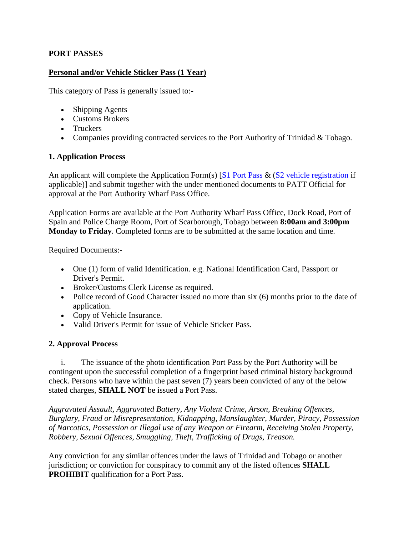## **PORT PASSES**

### **Personal and/or Vehicle Sticker Pass (1 Year)**

This category of Pass is generally issued to:-

- Shipping Agents
- Customs Brokers
- Truckers
- Companies providing contracted services to the Port Authority of Trinidad & Tobago.

### **1. Application Process**

An applicant will complete the Application Form(s) [\[S1 Port Pass](http://www.patnt.com/content/portpassS1.pdf) & [\(S2 vehicle registration i](http://www.patnt.com/content/vehicleregS2.pdf)f applicable)] and submit together with the under mentioned documents to PATT Official for approval at the Port Authority Wharf Pass Office.

Application Forms are available at the Port Authority Wharf Pass Office, Dock Road, Port of Spain and Police Charge Room, Port of Scarborough, Tobago between **8:00am and 3:00pm Monday to Friday**. Completed forms are to be submitted at the same location and time.

Required Documents:-

- One (1) form of valid Identification. e.g. National Identification Card, Passport or Driver's Permit.
- Broker/Customs Clerk License as required.
- Police record of Good Character issued no more than six (6) months prior to the date of application.
- Copy of Vehicle Insurance.
- Valid Driver's Permit for issue of Vehicle Sticker Pass.

### **2. Approval Process**

 i. The issuance of the photo identification Port Pass by the Port Authority will be contingent upon the successful completion of a fingerprint based criminal history background check. Persons who have within the past seven (7) years been convicted of any of the below stated charges, **SHALL NOT** be issued a Port Pass.

*Aggravated Assault, Aggravated Battery, Any Violent Crime, Arson, Breaking Offences, Burglary, Fraud or Misrepresentation, Kidnapping, Manslaughter, Murder, Piracy, Possession of Narcotics, Possession or Illegal use of any Weapon or Firearm, Receiving Stolen Property, Robbery, Sexual Offences, Smuggling, Theft, Trafficking of Drugs, Treason.*

Any conviction for any similar offences under the laws of Trinidad and Tobago or another jurisdiction; or conviction for conspiracy to commit any of the listed offences **SHALL PROHIBIT** qualification for a Port Pass.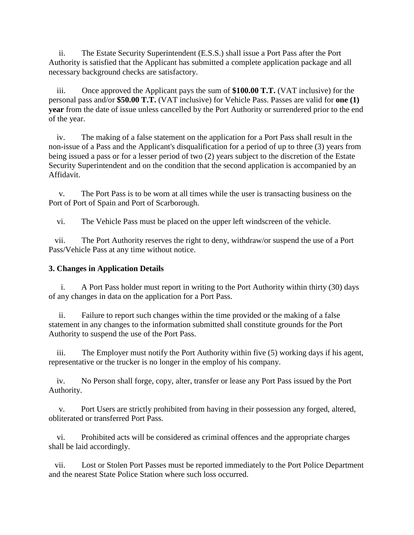ii. The Estate Security Superintendent (E.S.S.) shall issue a Port Pass after the Port Authority is satisfied that the Applicant has submitted a complete application package and all necessary background checks are satisfactory.

 iii. Once approved the Applicant pays the sum of **\$100.00 T.T.** (VAT inclusive) for the personal pass and/or **\$50.00 T.T.** (VAT inclusive) for Vehicle Pass. Passes are valid for **one (1) year** from the date of issue unless cancelled by the Port Authority or surrendered prior to the end of the year.

 iv. The making of a false statement on the application for a Port Pass shall result in the non-issue of a Pass and the Applicant's disqualification for a period of up to three (3) years from being issued a pass or for a lesser period of two (2) years subject to the discretion of the Estate Security Superintendent and on the condition that the second application is accompanied by an Affidavit.

 v. The Port Pass is to be worn at all times while the user is transacting business on the Port of Port of Spain and Port of Scarborough.

vi. The Vehicle Pass must be placed on the upper left windscreen of the vehicle.

 vii. The Port Authority reserves the right to deny, withdraw/or suspend the use of a Port Pass/Vehicle Pass at any time without notice.

## **3. Changes in Application Details**

 i. A Port Pass holder must report in writing to the Port Authority within thirty (30) days of any changes in data on the application for a Port Pass.

 ii. Failure to report such changes within the time provided or the making of a false statement in any changes to the information submitted shall constitute grounds for the Port Authority to suspend the use of the Port Pass.

 iii. The Employer must notify the Port Authority within five (5) working days if his agent, representative or the trucker is no longer in the employ of his company.

 iv. No Person shall forge, copy, alter, transfer or lease any Port Pass issued by the Port Authority.

 v. Port Users are strictly prohibited from having in their possession any forged, altered, obliterated or transferred Port Pass.

 vi. Prohibited acts will be considered as criminal offences and the appropriate charges shall be laid accordingly.

 vii. Lost or Stolen Port Passes must be reported immediately to the Port Police Department and the nearest State Police Station where such loss occurred.